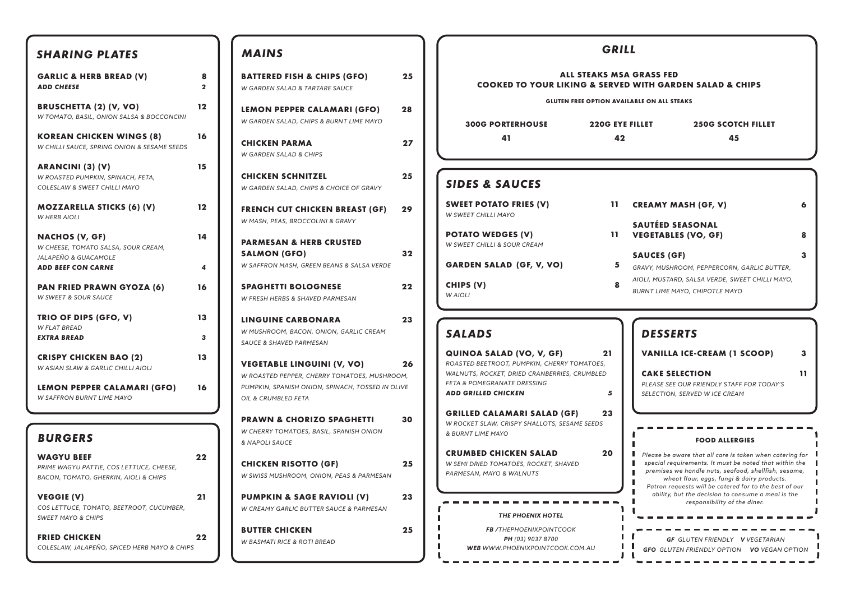| <b>SHARING PLATES</b>                                                                                  |                              |  |  |  |  |
|--------------------------------------------------------------------------------------------------------|------------------------------|--|--|--|--|
| <b>GARLIC &amp; HERB BREAD (V)</b><br><b>ADD CHEESE</b>                                                | 8<br>$\overline{\mathbf{2}}$ |  |  |  |  |
| <b>BRUSCHETTA (2) (V, VO)</b><br>W TOMATO, BASIL, ONION SALSA & BOCCONCINI                             |                              |  |  |  |  |
| <b>KOREAN CHICKEN WINGS (8)</b><br>W CHILLI SAUCE, SPRING ONION & SESAME SEEDS                         | 16                           |  |  |  |  |
| <b>ARANCINI (3) (V)</b><br>W ROASTED PUMPKIN, SPINACH, FETA,<br>COLESLAW & SWEET CHILLI MAYO           | 15                           |  |  |  |  |
| <b>MOZZARELLA STICKS (6) (V)</b><br><b>W HERB AIOLI</b>                                                | 12                           |  |  |  |  |
| <b>NACHOS (V, GF)</b><br>W CHEESE, TOMATO SALSA, SOUR CREAM,<br>JALAPEÑO & GUACAMOLE                   | 14                           |  |  |  |  |
| <b>ADD BEEF CON CARNE</b>                                                                              | 4                            |  |  |  |  |
| <b>PAN FRIED PRAWN GYOZA (6)</b><br>W SWEET & SOUR SAUCE                                               | 16                           |  |  |  |  |
| TRIO OF DIPS (GFO, V)<br><b>W FLAT BREAD</b><br><b>EXTRA BREAD</b>                                     | 13<br>3                      |  |  |  |  |
| <b>CRISPY CHICKEN BAO (2)</b><br>W ASIAN SLAW & GARLIC CHILLI AIOLI                                    |                              |  |  |  |  |
| LEMON PEPPER CALAMARI (GFO)<br>W SAFFRON BURNT LIME MAYO                                               | 16                           |  |  |  |  |
|                                                                                                        |                              |  |  |  |  |
| <b>BURGERS</b>                                                                                         |                              |  |  |  |  |
| <b>WAGYU BEEF</b><br>PRIME WAGYU PATTIE, COS LETTUCE, CHEESE,<br>BACON, TOMATO, GHERKIN, AIOLI & CHIPS | 22                           |  |  |  |  |
| <b>VEGGIE (V)</b><br>COS LETTUCE, TOMATO, BEETROOT, CUCUMBER,<br><b>SWEET MAYO &amp; CHIPS</b>         | 21                           |  |  |  |  |
| <b>FRIED CHICKEN</b><br>COLESLAW, JALAPEÑO, SPICED HERB MAYO & CHIPS                                   | 22                           |  |  |  |  |

## *MAINS*

| <b>BATTERED FISH &amp; CHIPS (GFO)</b><br><b>W GARDEN SALAD &amp; TARTARE SAUCE</b>                                                                          | 25 |
|--------------------------------------------------------------------------------------------------------------------------------------------------------------|----|
| LEMON PEPPER CALAMARI (GFO)<br>W GARDEN SALAD, CHIPS & BURNT LIME MAYO                                                                                       | 28 |
| <b>CHICKEN PARMA</b><br><b>W GARDEN SALAD &amp; CHIPS</b>                                                                                                    | 27 |
| <b>CHICKEN SCHNITZEL</b><br>W GARDEN SALAD, CHIPS & CHOICE OF GRAVY                                                                                          | 25 |
| FRENCH CUT CHICKEN BREAST (GF)<br>W MASH, PEAS, BROCCOLINI & GRAVY                                                                                           | 29 |
| <b>PARMESAN &amp; HERB CRUSTED</b><br>SALMON (GFO)<br>W SAFFRON MASH, GREEN BEANS & SALSA VERDE                                                              | 32 |
| <b>SPAGHETTI BOLOGNESE</b><br>W FRESH HERBS & SHAVED PARMESAN                                                                                                | 22 |
| <b>LINGUINE CARBONARA</b><br>W MUSHROOM, BACON, ONION, GARLIC CREAM<br><b>SAUCE &amp; SHAVED PARMESAN</b>                                                    | 23 |
| <b>VEGETABLE LINGUINI (V, VO)</b><br>W ROASTED PEPPER, CHERRY TOMATOES, MUSHROOM,<br>PUMPKIN, SPANISH ONION, SPINACH, TOSSED IN OLIVE<br>OIL & CRUMBLED FETA | 26 |
| <b>PRAWN &amp; CHORIZO SPAGHETTI</b><br>W CHERRY TOMATOES, BASIL, SPANISH ONION<br>& NAPOLI SAUCE                                                            | 30 |
| <b>CHICKEN RISOTTO (GF)</b><br>W SWISS MUSHROOM, ONION, PEAS & PARMESAN                                                                                      | 25 |
| <b>PUMPKIN &amp; SAGE RAVIOLI (V)</b><br><b>W CREAMY GARLIC BUTTER SAUCE &amp; PARMESAN</b>                                                                  | 23 |
| <b>BUTTER CHICKEN</b><br>W BASMATI RICE & ROTI BREAD                                                                                                         | 25 |

 $\mathbf{L}$ 

| <b>SHARING PLATES</b>                                                                                                                         |                      | <b>MAINS</b>                                                                                                                                                 |    | <b>GRILL</b>                                                                                                                                                                                                                                                                                                                                                                                       |  |  |
|-----------------------------------------------------------------------------------------------------------------------------------------------|----------------------|--------------------------------------------------------------------------------------------------------------------------------------------------------------|----|----------------------------------------------------------------------------------------------------------------------------------------------------------------------------------------------------------------------------------------------------------------------------------------------------------------------------------------------------------------------------------------------------|--|--|
| <b>GARLIC &amp; HERB BREAD (V)</b><br><b>ADD CHEESE</b>                                                                                       | 8<br>$\overline{2}$  | <b>BATTERED FISH &amp; CHIPS (GFO)</b><br>W GARDEN SALAD & TARTARE SAUCE                                                                                     | 25 | <b>ALL STEAKS MSA GRASS FED</b><br><b>COOKED TO YOUR LIKING &amp; SERVED WITH GARDEN SALAD &amp; CHIPS</b>                                                                                                                                                                                                                                                                                         |  |  |
| <b>BRUSCHETTA (2) (V, VO)</b><br>W TOMATO, BASIL, ONION SALSA & BOCCONCINI                                                                    | $12 \,$              | LEMON PEPPER CALAMARI (GFO)<br>W GARDEN SALAD, CHIPS & BURNT LIME MAYO                                                                                       | 28 | <b>GLUTEN FREE OPTION AVAILABLE ON ALL STEAKS</b><br><b>300G PORTERHOUSE</b><br><b>220G EYE FILLET</b><br><b>250G SCOTCH FILLET</b>                                                                                                                                                                                                                                                                |  |  |
| KOREAN CHICKEN WINGS (8)<br>W CHILLI SAUCE, SPRING ONION & SESAME SEEDS                                                                       | 16                   | <b>CHICKEN PARMA</b><br><b>W GARDEN SALAD &amp; CHIPS</b>                                                                                                    | 27 | 41<br>42<br>45                                                                                                                                                                                                                                                                                                                                                                                     |  |  |
| ARANCINI (3) (V)<br>W ROASTED PUMPKIN, SPINACH, FETA,<br>COLESLAW & SWEET CHILLI MAYO                                                         | 15                   | <b>CHICKEN SCHNITZEL</b><br>W GARDEN SALAD, CHIPS & CHOICE OF GRAVY                                                                                          | 25 | <b>SIDES &amp; SAUCES</b>                                                                                                                                                                                                                                                                                                                                                                          |  |  |
| <b>MOZZARELLA STICKS (6) (V)</b><br><b>W HERB AIOLI</b>                                                                                       | $12 \,$              | <b>FRENCH CUT CHICKEN BREAST (GF)</b><br>W MASH, PEAS, BROCCOLINI & GRAVY                                                                                    | 29 | <b>SWEET POTATO FRIES (V)</b><br>11.<br><b>CREAMY MASH (GF, V)</b><br>6<br>W SWEET CHILLI MAYO                                                                                                                                                                                                                                                                                                     |  |  |
| <b>NACHOS (V, GF)</b><br>W CHEESE, TOMATO SALSA, SOUR CREAM,<br>JALAPEÑO & GUACAMOLE<br><b>ADD BEEF CON CARNE</b>                             | 14<br>$\overline{a}$ | <b>PARMESAN &amp; HERB CRUSTED</b><br><b>SALMON (GFO)</b><br>W SAFFRON MASH, GREEN BEANS & SALSA VERDE                                                       | 32 | <b>SAUTÉED SEASONAL</b><br><b>POTATO WEDGES (V)</b><br>11<br><b>VEGETABLES (VO, GF)</b><br>8<br>W SWEET CHILLI & SOUR CREAM<br><b>SAUCES (GF)</b><br>$\mathbf{3}$<br><b>GARDEN SALAD (GF, V, VO)</b><br>5<br>GRAVY, MUSHROOM, PEPPERCORN, GARLIC BUTTER,                                                                                                                                           |  |  |
| PAN FRIED PRAWN GYOZA (6)<br><b>W SWEET &amp; SOUR SAUCE</b>                                                                                  | 16                   | <b>SPAGHETTI BOLOGNESE</b><br>W FRESH HERBS & SHAVED PARMESAN                                                                                                | 22 | AIOLI, MUSTARD, SALSA VERDE, SWEET CHILLI MAYO,<br>CHIPS (V)<br>8<br>BURNT LIME MAYO, CHIPOTLE MAYO<br>W AIOLI                                                                                                                                                                                                                                                                                     |  |  |
| TRIO OF DIPS (GFO, V)<br><b>W FLAT BREAD</b><br><b>EXTRA BREAD</b>                                                                            | 13<br>$\overline{3}$ | <b>LINGUINE CARBONARA</b><br>W MUSHROOM, BACON, ONION, GARLIC CREAM<br>SAUCE & SHAVED PARMESAN                                                               | 23 | <b>SALADS</b><br><b>DESSERTS</b>                                                                                                                                                                                                                                                                                                                                                                   |  |  |
| <b>CRISPY CHICKEN BAO (2)</b><br>W ASIAN SLAW & GARLIC CHILLI AIOLI<br><b>LEMON PEPPER CALAMARI (GFO)</b><br><b>W SAFFRON BURNT LIME MAYO</b> | 13<br>16             | <b>VEGETABLE LINGUINI (V, VO)</b><br>W ROASTED PEPPER, CHERRY TOMATOES, MUSHROOM,<br>PUMPKIN, SPANISH ONION, SPINACH, TOSSED IN OLIVE<br>OIL & CRUMBLED FETA | 26 | <b>VANILLA ICE-CREAM (1 SCOOP)</b><br>$\mathbf{3}$<br>21<br>QUINOA SALAD (VO, V, GF)<br>ROASTED BEETROOT, PUMPKIN, CHERRY TOMATOES,<br>WALNUTS, ROCKET, DRIED CRANBERRIES, CRUMBLED<br>11<br><b>CAKE SELECTION</b><br>FETA & POMEGRANATE DRESSING<br>PLEASE SEE OUR FRIENDLY STAFF FOR TODAY'S<br><b>ADD GRILLED CHICKEN</b><br>5<br>SELECTION, SERVED W ICE CREAM                                 |  |  |
| <b>BURGERS</b>                                                                                                                                |                      | <b>PRAWN &amp; CHORIZO SPAGHETTI</b><br>W CHERRY TOMATOES, BASIL, SPANISH ONION<br>& NAPOLI SAUCE                                                            | 30 | 23<br><b>GRILLED CALAMARI SALAD (GF)</b><br>W ROCKET SLAW, CRISPY SHALLOTS, SESAME SEEDS<br>& BURNT LIME MAYO<br><b>FOOD ALLERGIES</b>                                                                                                                                                                                                                                                             |  |  |
| <b>WAGYU BEEF</b><br>PRIME WAGYU PATTIE, COS LETTUCE, CHEESE,<br>BACON, TOMATO, GHERKIN, AIOLI & CHIPS                                        | 22                   | <b>CHICKEN RISOTTO (GF)</b><br>W SWISS MUSHROOM, ONION, PEAS & PARMESAN                                                                                      | 25 | 20<br><b>CRUMBED CHICKEN SALAD</b><br>Please be aware that all care is taken when catering for $\ $<br>special requirements. It must be noted that within the<br>W SEMI DRIED TOMATOES, ROCKET, SHAVED<br>premises we handle nuts, seafood, shellfish, sesame,<br>PARMESAN, MAYO & WALNUTS<br>wheat flour, eggs, fungi & dairy products.<br>Patron requests will be catered for to the best of our |  |  |
| VEGGIE (V)<br>COS LETTUCE, TOMATO, BEETROOT, CUCUMBER,<br><b>SWEET MAYO &amp; CHIPS</b>                                                       | 21                   | <b>PUMPKIN &amp; SAGE RAVIOLI (V)</b><br>W CREAMY GARLIC BUTTER SAUCE & PARMESAN                                                                             | 23 | ability, but the decision to consume a meal is the<br>responsibility of the diner.<br><b>THE PHOENIX HOTEL</b>                                                                                                                                                                                                                                                                                     |  |  |
| <b>FRIED CHICKEN</b><br>COLESLAW, JALAPEÑO, SPICED HERB MAYO & CHIPS                                                                          | 22                   | <b>BUTTER CHICKEN</b><br><b>W BASMATI RICE &amp; ROTI BREAD</b>                                                                                              | 25 | <b>FB</b> /THEPHOENIXPOINTCOOK<br>GF GLUTEN FRIENDLY V VEGETARIAN<br>PH (03) 9037 8700<br>WEB WWW.PHOENIXPOINTCOOK.COM.AU<br><b>GEO GUITEN ERIENDI Y OPTION VO VEGAN OPTION</b>                                                                                                                                                                                                                    |  |  |

*GFO GLUTEN FRIENDLY OPTION VO VEGAN OPTION*